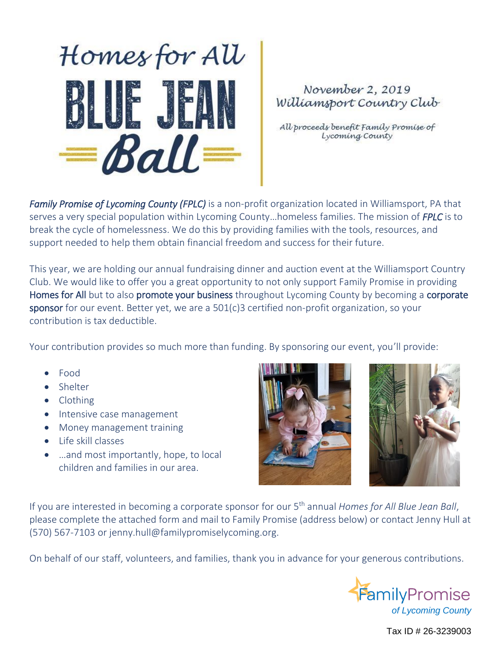

## November 2, 2019 Williamsport Country Club

All proceeds benefit Family Promise of Lycoming County

*Family Promise of Lycoming County (FPLC)* is a non-profit organization located in Williamsport, PA that serves a very special population within Lycoming County…homeless families. The mission of *FPLC* is to break the cycle of homelessness. We do this by providing families with the tools, resources, and support needed to help them obtain financial freedom and success for their future.

This year, we are holding our annual fundraising dinner and auction event at the Williamsport Country Club. We would like to offer you a great opportunity to not only support Family Promise in providing Homes for All but to also promote your business throughout Lycoming County by becoming a corporate sponsor for our event. Better yet, we are a 501(c)3 certified non-profit organization, so your contribution is tax deductible.

Your contribution provides so much more than funding. By sponsoring our event, you'll provide:

- Food
- Shelter
- Clothing
- Intensive case management
- Money management training
- Life skill classes
- ...and most importantly, hope, to local children and families in our area.





If you are interested in becoming a corporate sponsor for our 5<sup>th</sup> annual *Homes for All Blue Jean Ball*, please complete the attached form and mail to Family Promise (address below) or contact Jenny Hull at (570) 567-7103 or jenny.hull@familypromiselycoming.org.

On behalf of our staff, volunteers, and families, thank you in advance for your generous contributions.



Tax ID # 26-3239003